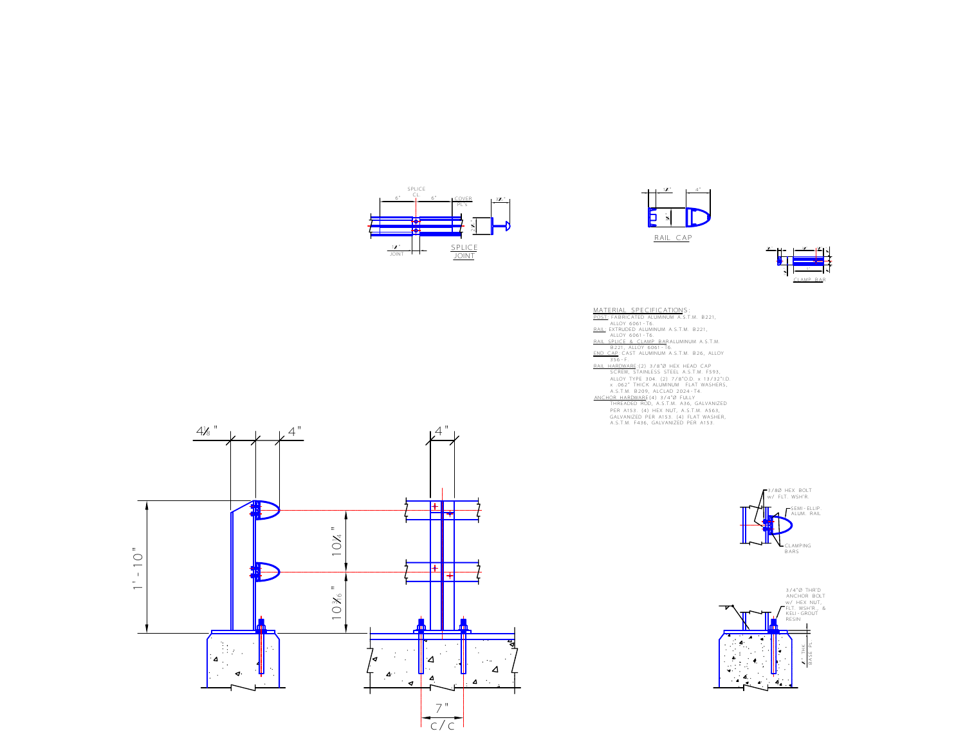





MATERIAL SPECIFICATIONS:<br>
RATERIAL SPECIFICATIONS:<br>
RAILOY 6061-T6.<br>
ALLOY 6061-T6.<br>
ALLOY 6061-T6.<br>
RAIL SENTRUDED ALUMINUM A.S.T.M. B221,<br>
RAIL SENTRUDED ALUMINUM A.S.T.M. B221,<br>
RAIL HARDWARE-(2) 3/8°0 HEX HEAD CAP<br>
SCR THREADED ROD, A.S.T.M. A36, GALVANIZED PER A153. (4) HEX NUT, A.S.T.M. A563, GALVANIZED PER A153. (4) FLAT WASHER, A.S.T.M. F436, GALVANIZED PER A153.